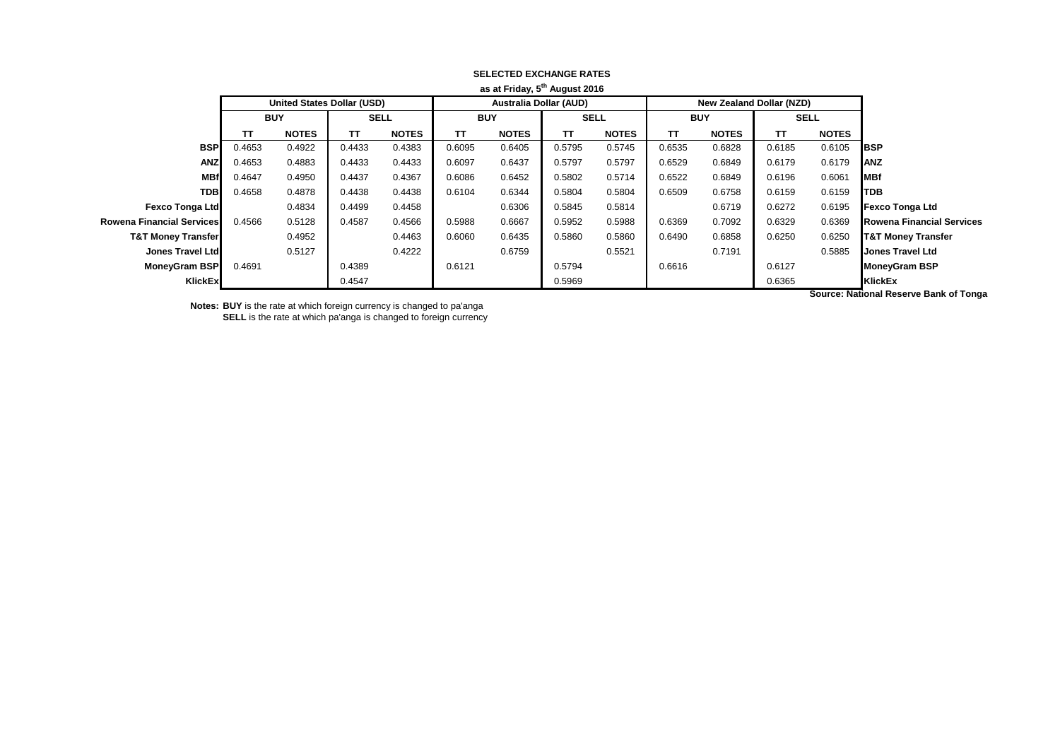|                               |            |                                   |             |              |                               | as at Friday, 5 August 2016 |             |              |            |                          |             |                      |                                  |
|-------------------------------|------------|-----------------------------------|-------------|--------------|-------------------------------|-----------------------------|-------------|--------------|------------|--------------------------|-------------|----------------------|----------------------------------|
|                               |            | <b>United States Dollar (USD)</b> |             |              | <b>Australia Dollar (AUD)</b> |                             |             |              |            | New Zealand Dollar (NZD) |             |                      |                                  |
|                               | <b>BUY</b> |                                   | <b>SELL</b> |              | <b>BUY</b>                    |                             | <b>SELL</b> |              | <b>BUY</b> |                          | <b>SELL</b> |                      |                                  |
|                               | TΤ         | <b>NOTES</b>                      | тт          | <b>NOTES</b> | TΤ                            | <b>NOTES</b>                | TT          | <b>NOTES</b> | TΤ         | <b>NOTES</b>             | TΤ          | <b>NOTES</b>         |                                  |
| <b>BSP</b>                    | 0.4653     | 0.4922                            | 0.4433      | 0.4383       | 0.6095                        | 0.6405                      | 0.5795      | 0.5745       | 0.6535     | 0.6828                   | 0.6185      | 0.6105               | <b>BSP</b>                       |
| <b>ANZ</b>                    | 0.4653     | 0.4883                            | 0.4433      | 0.4433       | 0.6097                        | 0.6437                      | 0.5797      | 0.5797       | 0.6529     | 0.6849                   | 0.6179      | 0.6179               | <b>ANZ</b>                       |
| <b>MBf</b>                    | 0.4647     | 0.4950                            | 0.4437      | 0.4367       | 0.6086                        | 0.6452                      | 0.5802      | 0.5714       | 0.6522     | 0.6849                   | 0.6196      | 0.6061               | <b>MBf</b>                       |
| <b>TDB</b>                    | 0.4658     | 0.4878                            | 0.4438      | 0.4438       | 0.6104                        | 0.6344                      | 0.5804      | 0.5804       | 0.6509     | 0.6758                   | 0.6159      | 0.6159               | <b>TDB</b>                       |
| <b>Fexco Tonga Ltd</b>        |            | 0.4834                            | 0.4499      | 0.4458       |                               | 0.6306                      | 0.5845      | 0.5814       |            | 0.6719                   | 0.6272      | 0.6195               | <b>Fexco Tonga Ltd</b>           |
| Rowena Financial Services     | 0.4566     | 0.5128                            | 0.4587      | 0.4566       | 0.5988                        | 0.6667                      | 0.5952      | 0.5988       | 0.6369     | 0.7092                   | 0.6329      | 0.6369               | <b>Rowena Financial Services</b> |
| <b>T&amp;T Money Transfer</b> |            | 0.4952                            |             | 0.4463       | 0.6060                        | 0.6435                      | 0.5860      | 0.5860       | 0.6490     | 0.6858                   | 0.6250      | 0.6250               | <b>T&amp;T Money Transfer</b>    |
| Jones Travel Ltd              |            | 0.5127                            |             | 0.4222       |                               | 0.6759                      |             | 0.5521       |            | 0.7191                   |             | 0.5885               | <b>Jones Travel Ltd</b>          |
| MoneyGram BSP                 | 0.4691     |                                   | 0.4389      |              | 0.6121                        |                             | 0.5794      |              | 0.6616     |                          | 0.6127      |                      | MoneyGram BSP                    |
| <b>KlickEx</b>                |            |                                   | 0.4547      |              |                               |                             | 0.5969      |              |            |                          | 0.6365      |                      | KlickEx                          |
|                               |            |                                   |             |              |                               |                             |             |              |            |                          |             | $\sim$ $\sim$ $\sim$ | .<br>__________                  |

## **SELECTED EXCHANGE RATES as at Friday, 5th August 2016**

**Notes: BUY** is the rate at which foreign currency is changed to pa'anga **SELL** is the rate at which pa'anga is changed to foreign currency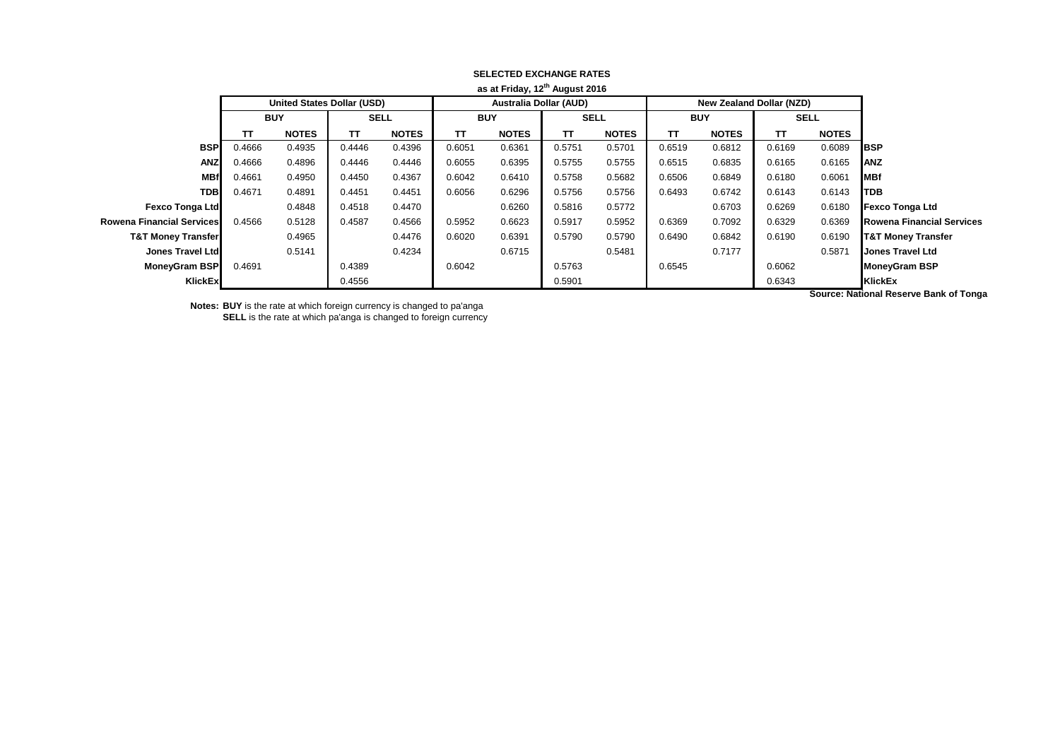|                                  |                                   |              |             |              |                               | as at Friday, 12" August 2016 |             |              |            |                                 |             |                      |                                  |
|----------------------------------|-----------------------------------|--------------|-------------|--------------|-------------------------------|-------------------------------|-------------|--------------|------------|---------------------------------|-------------|----------------------|----------------------------------|
|                                  | <b>United States Dollar (USD)</b> |              |             |              | <b>Australia Dollar (AUD)</b> |                               |             |              |            | <b>New Zealand Dollar (NZD)</b> |             |                      |                                  |
|                                  | <b>BUY</b>                        |              | <b>SELL</b> |              | <b>BUY</b>                    |                               | <b>SELL</b> |              | <b>BUY</b> |                                 | <b>SELL</b> |                      |                                  |
|                                  | тτ                                | <b>NOTES</b> | TΤ          | <b>NOTES</b> | <b>TT</b>                     | <b>NOTES</b>                  | TΤ          | <b>NOTES</b> | TΤ         | <b>NOTES</b>                    | TΤ          | <b>NOTES</b>         |                                  |
| <b>BSP</b>                       | 0.4666                            | 0.4935       | 0.4446      | 0.4396       | 0.6051                        | 0.6361                        | 0.5751      | 0.5701       | 0.6519     | 0.6812                          | 0.6169      | 0.6089               | <b>I</b> BSP                     |
| <b>ANZ</b>                       | 0.4666                            | 0.4896       | 0.4446      | 0.4446       | 0.6055                        | 0.6395                        | 0.5755      | 0.5755       | 0.6515     | 0.6835                          | 0.6165      | 0.6165               | <b>ANZ</b>                       |
| <b>MBf</b>                       | 0.4661                            | 0.4950       | 0.4450      | 0.4367       | 0.6042                        | 0.6410                        | 0.5758      | 0.5682       | 0.6506     | 0.6849                          | 0.6180      | 0.6061               | <b>MBf</b>                       |
| <b>TDB</b>                       | 0.4671                            | 0.4891       | 0.4451      | 0.4451       | 0.6056                        | 0.6296                        | 0.5756      | 0.5756       | 0.6493     | 0.6742                          | 0.6143      | 0.6143               | <b>TDB</b>                       |
| <b>Fexco Tonga Ltd</b>           |                                   | 0.4848       | 0.4518      | 0.4470       |                               | 0.6260                        | 0.5816      | 0.5772       |            | 0.6703                          | 0.6269      | 0.6180               | <b>Fexco Tonga Ltd</b>           |
| <b>Rowena Financial Services</b> | 0.4566                            | 0.5128       | 0.4587      | 0.4566       | 0.5952                        | 0.6623                        | 0.5917      | 0.5952       | 0.6369     | 0.7092                          | 0.6329      | 0.6369               | <b>Rowena Financial Services</b> |
| <b>T&amp;T Money Transfer</b>    |                                   | 0.4965       |             | 0.4476       | 0.6020                        | 0.6391                        | 0.5790      | 0.5790       | 0.6490     | 0.6842                          | 0.6190      | 0.6190               | <b>T&amp;T Money Transfer</b>    |
| <b>Jones Travel Ltd</b>          |                                   | 0.5141       |             | 0.4234       |                               | 0.6715                        |             | 0.5481       |            | 0.7177                          |             | 0.5871               | <b>Jones Travel Ltd</b>          |
| <b>MoneyGram BSP</b>             | 0.4691                            |              | 0.4389      |              | 0.6042                        |                               | 0.5763      |              | 0.6545     |                                 | 0.6062      |                      | <b>MoneyGram BSP</b>             |
| KlickEx                          |                                   |              | 0.4556      |              |                               |                               | 0.5901      |              |            |                                 | 0.6343      |                      | KlickEx                          |
|                                  |                                   |              |             |              |                               |                               |             |              |            |                                 |             | $\sim$ $\sim$ $\sim$ |                                  |

## **SELECTED EXCHANGE RATES as at Friday, 12th August 2016**

**Notes: BUY** is the rate at which foreign currency is changed to pa'anga **SELL** is the rate at which pa'anga is changed to foreign currency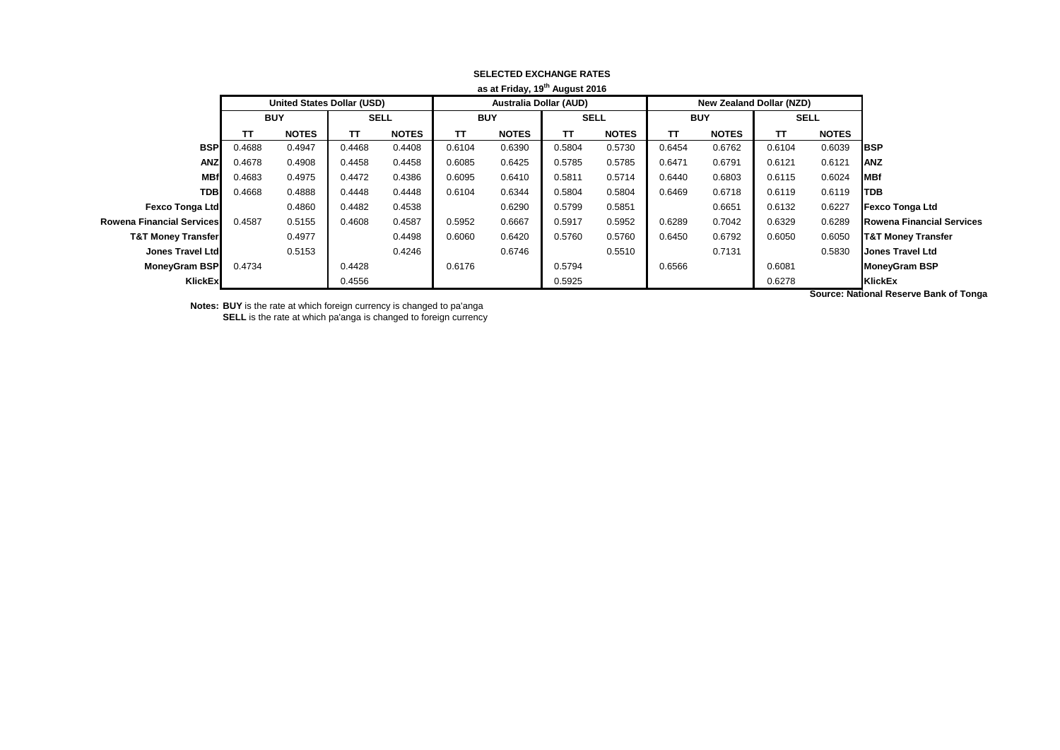|                                  |                                   |              |             |              |                               | as at Friday, 19" August 2016 |             |              |            |                          |             |                      |                                  |
|----------------------------------|-----------------------------------|--------------|-------------|--------------|-------------------------------|-------------------------------|-------------|--------------|------------|--------------------------|-------------|----------------------|----------------------------------|
|                                  | <b>United States Dollar (USD)</b> |              |             |              | <b>Australia Dollar (AUD)</b> |                               |             |              |            | New Zealand Dollar (NZD) |             |                      |                                  |
|                                  | <b>BUY</b>                        |              | <b>SELL</b> |              | <b>BUY</b>                    |                               | <b>SELL</b> |              | <b>BUY</b> |                          | <b>SELL</b> |                      |                                  |
|                                  | TΤ                                | <b>NOTES</b> | тτ          | <b>NOTES</b> | TΤ                            | <b>NOTES</b>                  | TT          | <b>NOTES</b> | TΤ         | <b>NOTES</b>             | TΤ          | <b>NOTES</b>         |                                  |
| <b>BSP</b>                       | 0.4688                            | 0.4947       | 0.4468      | 0.4408       | 0.6104                        | 0.6390                        | 0.5804      | 0.5730       | 0.6454     | 0.6762                   | 0.6104      | 0.6039               | IBSP                             |
| <b>ANZ</b>                       | 0.4678                            | 0.4908       | 0.4458      | 0.4458       | 0.6085                        | 0.6425                        | 0.5785      | 0.5785       | 0.6471     | 0.6791                   | 0.6121      | 0.6121               | <b>ANZ</b>                       |
| <b>MBf</b>                       | 0.4683                            | 0.4975       | 0.4472      | 0.4386       | 0.6095                        | 0.6410                        | 0.5811      | 0.5714       | 0.6440     | 0.6803                   | 0.6115      | 0.6024               | <b>MBf</b>                       |
| <b>TDB</b>                       | 0.4668                            | 0.4888       | 0.4448      | 0.4448       | 0.6104                        | 0.6344                        | 0.5804      | 0.5804       | 0.6469     | 0.6718                   | 0.6119      | 0.6119               | <b>TDB</b>                       |
| <b>Fexco Tonga Ltd</b>           |                                   | 0.4860       | 0.4482      | 0.4538       |                               | 0.6290                        | 0.5799      | 0.5851       |            | 0.6651                   | 0.6132      | 0.6227               | <b>Fexco Tonga Ltd</b>           |
| <b>Rowena Financial Services</b> | 0.4587                            | 0.5155       | 0.4608      | 0.4587       | 0.5952                        | 0.6667                        | 0.5917      | 0.5952       | 0.6289     | 0.7042                   | 0.6329      | 0.6289               | <b>Rowena Financial Services</b> |
| <b>T&amp;T Money Transfer</b>    |                                   | 0.4977       |             | 0.4498       | 0.6060                        | 0.6420                        | 0.5760      | 0.5760       | 0.6450     | 0.6792                   | 0.6050      | 0.6050               | <b>T&amp;T Money Transfer</b>    |
| Jones Travel Ltd                 |                                   | 0.5153       |             | 0.4246       |                               | 0.6746                        |             | 0.5510       |            | 0.7131                   |             | 0.5830               | <b>Jones Travel Ltd</b>          |
| MoneyGram BSP                    | 0.4734                            |              | 0.4428      |              | 0.6176                        |                               | 0.5794      |              | 0.6566     |                          | 0.6081      |                      | <b>MoneyGram BSP</b>             |
| <b>KlickEx</b>                   |                                   |              | 0.4556      |              |                               |                               | 0.5925      |              |            |                          | 0.6278      |                      | <b>KlickEx</b>                   |
|                                  |                                   |              |             |              |                               |                               |             |              |            |                          |             | $\sim$ $\sim$ $\sim$ |                                  |

## **SELECTED EXCHANGE RATES as at Friday, 19th August 2016**

**Notes: BUY** is the rate at which foreign currency is changed to pa'anga **SELL** is the rate at which pa'anga is changed to foreign currency